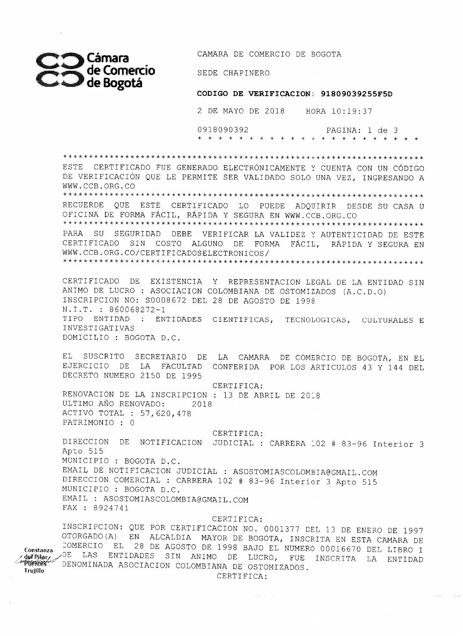

**Constanza** 

**Trujillo** 

CAMARA DE COMERCIO DE BOGOTA

SEDE CHAPINERO

## **CODIGO DE VERIFICACION: 91809039255F5D**

2 DE MAYO DE 2018 HORA 10:19:37

0918090392 PAGINA: 1 de 3 

ESTE CERTIFICADO FUE GENERADO ELECTRÓNICAMENTE Y CUENTA CON UN CÓDIGO DE VERIFICACIÓN QUE LE PERMITE SER VALIDADO SOLO UNA VEZ, INGRESANDO A WWW.CCB.ORG.00 RECUERDE QUE ESTE CERTIFICADO LO PUEDE ADQUIRIR DESDE SU CASA U OFICINA DE FORMA FÁCIL, RÁPIDA Y SEGURA EN WWW.CCB.ORG.CO **Ve\*\*\*\*\*\*\*\*\*\*\*\*\*\*\*\*\*\*\*\*\*\*\*\*\*\*\*\*\*\*\*\*\*\*\*\*\*\*\*\*\*\*\*\*\*\*\*\*\*\* \***  PARA SU SEGURIDAD DEBE VERIFICAR LA VALIDEZ Y AUTENTICIDAD DE ESTE CERTIFICADO SIN COSTO ALGUNO DE FORMA FÁCIL, RÁPIDA Y SEGURA EN WWW.CCB.ORG.CO/CERTIFICADOSELECTRONICOS/ **\*\*\*\*\*\*\*\*\*\*\*\*\*\*\*\*\*\*\*\*\*\*\*\*\*\*\*\*\*\*\*\*\*\*\*\*\*\*\*\*\*\*\*\*\*\*\*\*\*\*\*\*\*\*\*\*\*\*\*\* \***  CERTIFICADO DE EXISTENCIA Y REPRESENTACION LEGAL DE LA ENTIDAD SIN ANIMO DE LUCRO ASOCIACION COLOMBIANA DE OSTOMIZADOS (A.C.D.O) INSCRIPCION NO: 80008672 DEL 28 DE AGOSTO DE 1998 N.I.T. : 860068272-1 TIPO ENTIDAD : ENTIDADES CIENTIFICAS, TECNOLOGICAS, CULTURALES E INVESTIGATIVAS DOMICILIO : BOGOTA D.C. EL SUSCRITO SECRETARIO DE LA CAMARA DE COMERCIO DE BOGOTA, EN EL EJERCICIO DE LA FACULTAD CONFERIDA POR LOS ARTICULOS 43 Y 144 DEL DECRETO NUMERO 2150 DE 1995 CERTIFICA: RENOVACION DE LA INSCRIPCION : 13 DE ABRIL DE 2018 ULTIMO AÑO RENOVADO: 2018 ACTIVO TOTAL : 57,620,478 PATRIMONIO · O CERTIFICA: DIRECCION DE NOTIFICACION JUDICIAL : CARRERA 102 # 83-96 Interior 3 Apto 515 MUNICIPIO : BOGOTA D.C. EMAIL DE NOTIFICACION JUDICIAL : AS0ST0MIASC0L0MBIA@GMAIL.COM DIRECCION COMERCIAL : CARRERA 102 # 83-96 Interior 3 Apto 515 MUNICIPIO : BOGOTA D.C. EMAIL : AS0ST0MIASC0L0MBIA@GMAIL.COM FAX : 8 924741 CERTIFICA: INSCRIPCION: QUE POR CERTIFICACION NO. 0001377 DEL 13 DE ENERO DE 1997 OTORGADO(A) EN ALCALDIA MAYOR DE BOGOTA, INSCRITA EN ESTA CAMARA DE ::OMERCIO EL 28 DE AGOSTO DE 1998 BAJO EL NUMERO 00016670 DEL LIBRO I \_/DE LAS ENTIDADES SIN ANIMO DE LUCRO, FUE INSCRITA LA ENTIDAD def Pi<del>lar</del><br>Puentes DENOMINADA ASOCIACION COLOMBIANA DE OSTOMIZADOS. CERTIFICA: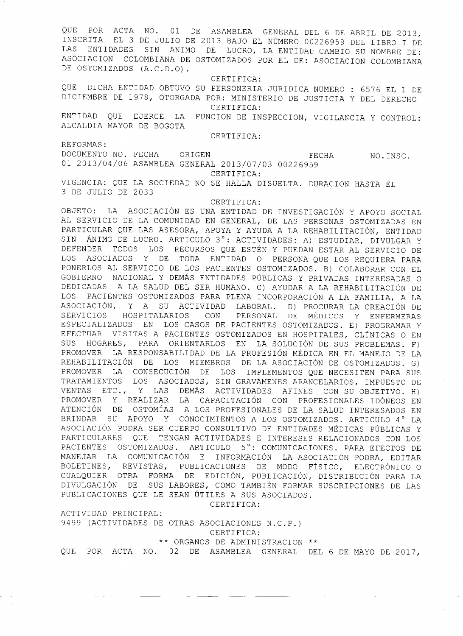QUE POR ACTA NO. 01 DE ASAMBLEA GENERAL DEL 6 DE ABRIL DE 2013, INSCRITA EL 3 DE JULIO DE 2013 BAJO EL NÚMERO 00226959 DEL LIBRO I DE LAS ENTIDADES SIN ANIMO DE LUCRO, LA ENTIDAD CAMBIO SU NOMBRE DE: ASOCIACION COLOMBIANA DE OSTOMIZADOS POR EL DE: ASOCIACION COLOMBIANA DE OSTOMIZADOS (A.C.D.O).

CERTIFICA:

QUE DICHA ENTIDAD OBTUVO SU PERSONERIA JURIDICA NUMERO : 6576 EL 1 DE DICIEMBRE DE 1978, OTORGADA POR: MINISTERIO DE JUSTICIA Y DEL DERECHO CERTIFICA:

ENTIDAD QUE EJERCE LA FUNCION DE INSPECCION, VIGILANCIA Y CONTROL: ALCALDIA MAYOR DE BOGOTA

CERTIFICA:

REFORMAS:

DOCUMENTO NO. FECHA ORIGEN FECHA FECHA NO.INSC. 01 2013/04/06 ASAMBLEA GENERAL 2013/07/03 00226959 CERTIFICA:

VIGENCIA: QUE LA SOCIEDAD NO SE HALLA DISUELTA. DURACION HASTA EL 3 DE JULIO DE 2033

CERTIFICA:

OBJETO: LA ASOCIACIÓN ES UNA ENTIDAD DE INVESTIGACIÓN Y APOYO SOCIAL AL SERVICIO DE LA COMUNIDAD EN GENERAL, DE LAS PERSONAS OSTOMIZADAS EN PARTICULAR QUE LAS ASESORA, APOYA Y AYUDA A LA REHABILITACIÓN, ENTIDAD SIN ÁNIMO DE LUCRO. ARTICULO 3°: ACTIVIDADES: A) ESTUDIAR, DIVULGAR Y DEFENDER TODOS LOS RECURSOS QUE ESTÉN Y PUEDAN ESTAR AL SERVICIO DE LOS ASOCIADOS Y DE TODA ENTIDAD O PERSONA QUE LOS REQUIERA PARA PONERLOS AL SERVICIO DE LOS PACIENTES OSTOMIZADOS. B) COLABORAR CON EL GOBIERNO NACIONAL Y DEMÁS ENTIDADES PÚBLICAS Y PRIVADAS INTERESADAS O DEDICADAS A LA SALUD DEL SER HUMANO. C) AYUDAR A LA REHABILITACIÓN DE LOS PACIENTES OSTOMIZADOS PARA PLENA INCORPORACIÓN A LA FAMILIA, A LA ASOCIACIÓN, Y A SU ACTIVIDAD LABORAL. D) PROCURAR LA CREACIÓN DE SERVICIOS HOSPITALARIOS CON PERSONAL DE MÉDICOS Y ENFERMERAS ESPECIALIZADOS EN LOS CASOS DE PACIENTES OSTOMIZADOS. E) PROGRAMAR Y EFECTUAR VISITAS A PACIENTES OSTOMIZADOS EN HOSPITALES, CLÍNICAS O EN SUS HOGARES, PARA ORIENTARLOS EN LA SOLUCIÓN DE SUS PROBLEMAS. F) PROMOVER LA RESPONSABILIDAD DE LA PROFESIÓN MÉDICA EN EL MANEJO DE LA REHABILITACIÓN DE LOS MIEMBROS DE LA ASOCIACIÓN DE OSTOMIZADOS. G) PROMOVER LA CONSECUCIÓN DE LOS IMPLEMENTOS QUE NECESITEN PARA SUS TRATAMIENTOS LOS ASOCIADOS, SIN GRAVÁMENES ARANCELARIOS, IMPUESTO DE VENTAS ETC., Y LAS DEMÁS ACTIVIDADES AFINES CON SU OBJETIVO. H) PROMOVER Y REALIZAR LA CAPACITACIÓN CON PROFESIONALES IDÓNEOS EN ATENCIÓN DE OSTOMÍAS A LOS PROFESIONALES DE LA SALUD INTERESADOS EN BRINDAR SU APOYO Y CONOCIMIENTOS A LOS OSTOMIZADOS. ARTICULO 4° LA ASOCIACIÓN PODRÁ SER CUERPO CONSULTIVO DE ENTIDADES MÉDICAS PÚBLICAS Y PARTICULARES QUE TENGAN ACTIVIDADES E INTERESES RELACIONADOS CON LOS PACIENTES OSTOMIZADOS. ARTICULO 5°: COMUNICACIONES. PARA EFECTOS DE MANEJAR LA COMUNICACIÓN E INFORMACIÓN LA ASOCIACIÓN PODRÁ, EDITAR BOLETINES, REVISTAS, PUBLICACIONES DE MODO FÍSICO, ELECTRÓNICO O CUALQUIER OTRA FORMA DE EDICIÓN, PUBLICACIÓN, DISTRIBUCIÓN PARA LA DIVULGACIÓN DE SUS LABORES, COMO TAMBIÉN FORMAR SUSCRIPCIONES DE LAS PUBLICACIONES QUE LE SEAN ÚTILES A SUS ASOCIADOS.

CERTIFICA:

ACTIVIDAD PRINCIPAL:

. .

9499 (ACTIVIDADES DE OTRAS ASOCIACIONES N.C.P.)

CERTIFICA:

\*\* ORGANOS DE ADMINISTRACION \*\*

QUE POR ACTA NO. 02 DE ASAMBLEA GENERAL DEL 6 DE MAYO DE 2017,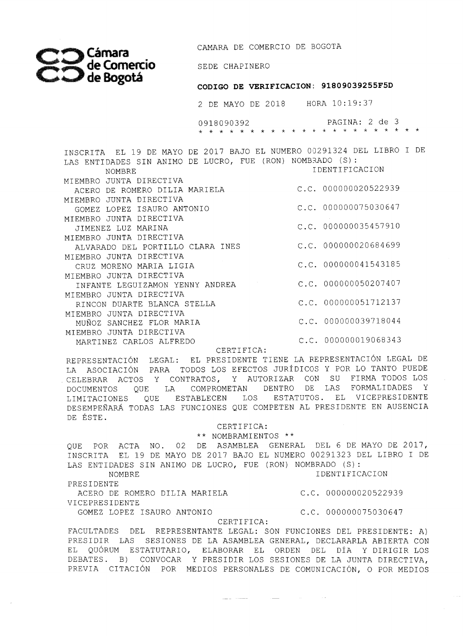*Cámara*  **de Comercio de ^ot á** 

CAMARA DE COMERCIO DE BOGOTA

SEDE CHAPINERO

## **CODIGO DE VERIFICACION: 91809039255F5D**

2 DE MAYO DE 2018 HORA 10:19:37

0918090392 PAGINA: 2 de 3

INSCRITA EL 19 DE MAYO DE 2017 BAJO EL NUMERO 00291324 DEL LIBRO I DE LAS ENTIDADES SIN ANIMO DE LUCRO, FUE (RON) NOMBRADO (S) : NOMBRE MIEMBRO JUNTA DIRECTIVA ACERO DE ROMERO DILI A MARIELA C.C. 000000020522939 MIEMBRO JUNTA DIRECTIVA GOMEZ LOPEZ ISAURO ANTONIO MIEMBRO JUNTA DIRECTIVA JIMENEZ LUZ MARINA MIEMBRO JUNTA DIRECTIVA ALVARADO DEL PORTILLO CLARA INES MIEMBRO JUNTA DIRECTIVA CRUZ MORENO MARIA LIGIA MIEMBRO JUNTA DIRECTIVA INFANTE LEGUIZAMON YENNY ANDREA C.C. 000000050207407 MIEMBRO JUNTA DIRECTIVA RINCON DUARTE BLANCA STELLA MIEMBRO JUNTA DIRECTIVA MUÑOZ SANCHEZ FLOR MARIA MIEMBRO JUNTA DIRECTIVA MARTINEZ CARLOS ALFREDO IDENTIFICACION  $C.C. 000000075030647$ C.C. 000000035457910 C.C. 000000020684699 C.C. 000000041543185 C.C. 000000051712137 C.C. 000000039718044 C.C. 000000019068343

CERTIFICA:

REPRESENTACIÓN LEGAL: EL PRESIDENTE TIENE LA REPRESENTACIÓN LEGAL DE LA ASOCIACIÓN PARA TODOS LOS EFECTOS JURÍDICOS Y POR LO TANTO PUEDE CELEBRAR ACTOS Y CONTRATOS, Y AUTORIZAR CON SU FIRMA TODOS LOS DOCUMENTOS QUE LA COMPROMETAN DENTRO DE LAS FORMALIDADES Y LIMITACIONES QUE ESTABLECEN LOS ESTATUTOS. EL VICEPRESIDENTE DESEMPEÑARÁ TODAS LAS FUNCIONES QUE COMPETEN AL PRESIDENTE EN AUSENCIA DE ÉSTE.

> CERTIFICA: \*\* NOMBRAMIENTOS

QUE POR ACTA NO. 02 DE ASAMBLEA GENERAL DEL 6 DE MAYO DE 2017, INSCRITA EL 19 DE MAYO DE 2017 BAJO EL NUMERO 00291323 DEL LIBRO I DE LAS ENTIDADES SIN ANIMO DE LUCRO, FUE (RON) NOMBRADO (S) :

NOMBRE IDENTIFICACION PRESIDENTE

ACERO DE ROMERO DILIA MARIELA (C.C. 000000020522939

VICEPRESIDENTE

GOMEZ LOPEZ ISAURO ANTONIO C.C. 000000075030647

CERTIFICA:

FACULTADES DEL REPRESENTANTE LEGAL: SON FUNCIONES DEL PRESIDENTE: A) PRESIDIR LAS SESIONES DE LA ASAMBLEA GENERAL, DECLARARLA ABIERTA CON EL QUORUM ESTATUTARIO, ELABORAR EL ORDEN DEL DÍA Y DIRIGIR LOS DEBATES. B) CONVOCAR Y PRESIDIR LOS SESIONES DE LA JUNTA DIRECTIVA, PREVIA CITACIÓN POR MEDIOS PERSONALES DE COMUNICACIÓN, O POR MEDIOS

<u>and and the company of the second and the company of the company of the company of the company of the company of the company of the company of the company of the company of the company of the company of the company of the</u>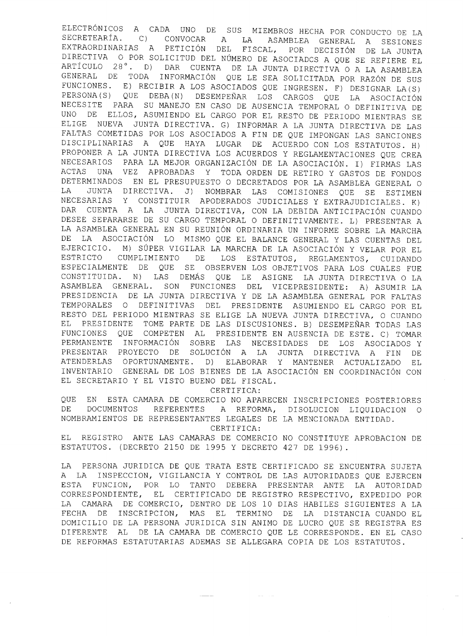ELECTRÓNICOS A CADA UNO DE SUS MIEMBROS HECHA POR CONDUCTO DE LA SECRETEARÍA. C) CONVOCAR A LA ASAMBLEA GENERAL A SESIONES EXTRAORDINARIAS A PETICIÓN DEL FISCAL, POR DECISIÓN DE LA JUNTA DIRECTIVA O POR SOLICITUD DEL NÚMERO DE ASOCIADOS A QUE SE REFIERE EL ARTÍCULO 28°. D) DAR CUENTA DE LA JUNTA DIRECTIVA O A LA ASAMBLEA GENERAL DE TODA INFORMACIÓN QUE LE SEA SOLICITADA POR RAZÓN DE SUS FUNCIONES. E) RECIBIR A LOS ASOCIADOS QUE INGRESEN. F) DESIGNAR LA(S) PERSONA(S) QUE DEBA(N) DESEMPEÑAR LOS CARGOS QUE LA ASOCIACIÓN NECESITE PARA SU MANEJO EN CASO DE AUSENCIA TEMPORAL O DEFINITIVA DE UNO DE ELLOS, ASUMIENDO EL CARGO POR EL RESTO DE PERIODO MIENTRAS SE ELIGE NUEVA JUNTA DIRECTIVA. G) INFORMAR A LA JUNTA DIRECTIVA DE LAS FALTAS COMETIDAS POR LOS ASOCIADOS A FIN DE QUE IMPONGAN LAS SANCIONES DISCIPLINARIAS A QUE HAYA LUGAR DE ACUERDO CON LOS ESTATUTOS. H) PROPONER A LA JUNTA DIRECTIVA LOS ACUERDOS Y REGLAMENTACIONES QUE CREA NECESARIOS PARA LA MEJOR ORGANIZACIÓN DE LA ASOCIACIÓN. I) FIRMAS LAS ACTAS UNA VEZ APROBADAS Y TODA ORDEN DE RETIRO Y GASTOS DE FONDOS DETERMINADOS EN EL PRESUPUESTO O DECRETADOS POR LA ASAMBLEA GENERAL O LA JUNTA DIRECTIVA. J) NOMBRAR LAS COMISIONES QUE SE ESTIMEN NECESARIAS Y CONSTITUIR APODERADOS JUDICIALES Y EXTRAJUDICIALES. K) DAR CUENTA A LA JUNTA DIRECTIVA, CON LA DEBIDA ANTICIPACIÓN CUANDO DESEE SEPARARSE DE SU CARGO TEMPORAL O DEFINITIVAMENTE. L) PRESENTAR A LA ASAMBLEA GENERAL EN SU REUNIÓN ORDINARIA UN INFORME SOBRE LA MARCHA DE LA ASOCIACIÓN LO MISMO QUE EL BALANCE GENERAL Y LAS CUENTAS DEL EJERCICIO. M) SÚPER VIGILAR LA MARCHA DE LA ASOCIACIÓN Y VELAR POR EL ESTRICTO CUMPLIMIENTO DE LOS ESTATUTOS, REGLAMENTOS, CUIDANDO ESPECIALMENTE DE QUE SE OBSERVEN LOS OBJETIVOS PARA LOS CUALES FUE CONSTITUIDA. N) LAS DEMÁS QUE LE ASIGNE LA JUNTA DIRECTIVA O LA ASAMBLEA GENERAL. SON FUNCIONES DEL VICEPRESIDENTE: A) ASUMIR LA PRESIDENCIA DE LA JUNTA DIRECTIVA Y DE LA ASAMBLEA GENERAL POR FALTAS TEMPORALES O DEFINITIVAS DEL PRESIDENTE ASUMIENDO EL CARGO POR EL RESTO DEL PERIODO MIENTRAS SE ELIGE LA NUEVA JUNTA DIRECTIVA, O CUANDO EL PRESIDENTE TOME PARTE DE LAS DISCUSIONES. B) DESEMPEÑAR TODAS LAS FUNCIONES QUE COMPETEN AL PRESIDENTE EN AUSENCIA DE ESTE. C) TOMAR PERMANENTE INFORMACIÓN SOBRE LAS NECESIDADES DE LOS ASOCIADOS Y PRESENTAR PROYECTO DE SOLUCIÓN A LA JUNTA DIRECTIVA A FIN DE ATENDERLAS OPORTUNAMENTE. D) ELABORAR Y MANTENER ACTUALIZADO EL INVENTARIO GENERAL DE LOS BIENES DE LA ASOCIACIÓN EN COORDINACIÓN CON EL SECRETARIO Y EL VISTO BUENO DEL FISCAL.

CERTIFICA:

QUE EN ESTA CAMARA DE COMERCIO NO APARECEN INSCRIPCIONES POSTERIORES DE DOCUMENTOS REFERENTES A REFORMA, DISOLUCION LIQUIDACION O NOMBRAMIENTOS DE REPRESENTANTES LEGALES DE LA MENCIONADA ENTIDAD. CERTIFICA:

EL REGISTRO ANTE LAS CAMARAS DE COMERCIO NO CONSTITUYE APROBACION DE ESTATUTOS. (DECRETO 2150 DE 1995 Y DECRETO 427 DE 1996) .

LA PERSONA JURIDICA DE QUE TRATA ESTE CERTIFICADO SE ENCUENTRA SUJETA A LA INSPECCION, VIGILANCIA Y CONTROL DE LAS AUTORIDADES QUE EJERCEN ESTA FUNCION, POR LO TANTO DEBERA PRESENTAR ANTE LA AUTORIDAD CORRESPONDIENTE, EL CERTIFICADO DE REGISTRO RESPECTIVO, EXPEDIDO POR LA CAMARA DE COMERCIO, DENTRO DE LOS 10 DIAS HABILES SIGUIENTES A LA FECHA DE INSCRIPCION, MAS EL TERMINO DE LA DISTANCIA CUANDO EL DOMICILIO DE LA PERSONA JURIDICA SIN ANIMO DE LUCRO QUE SE REGISTRA ES DIFERENTE AL DE LA CAMARA DE COMERCIO QUE LE CORRESPONDE. EN EL CASO DE REFORMAS ESTATUTARIAS ADEMAS SE ALLEGARA COPIA DE LOS ESTATUTOS.

and and the same